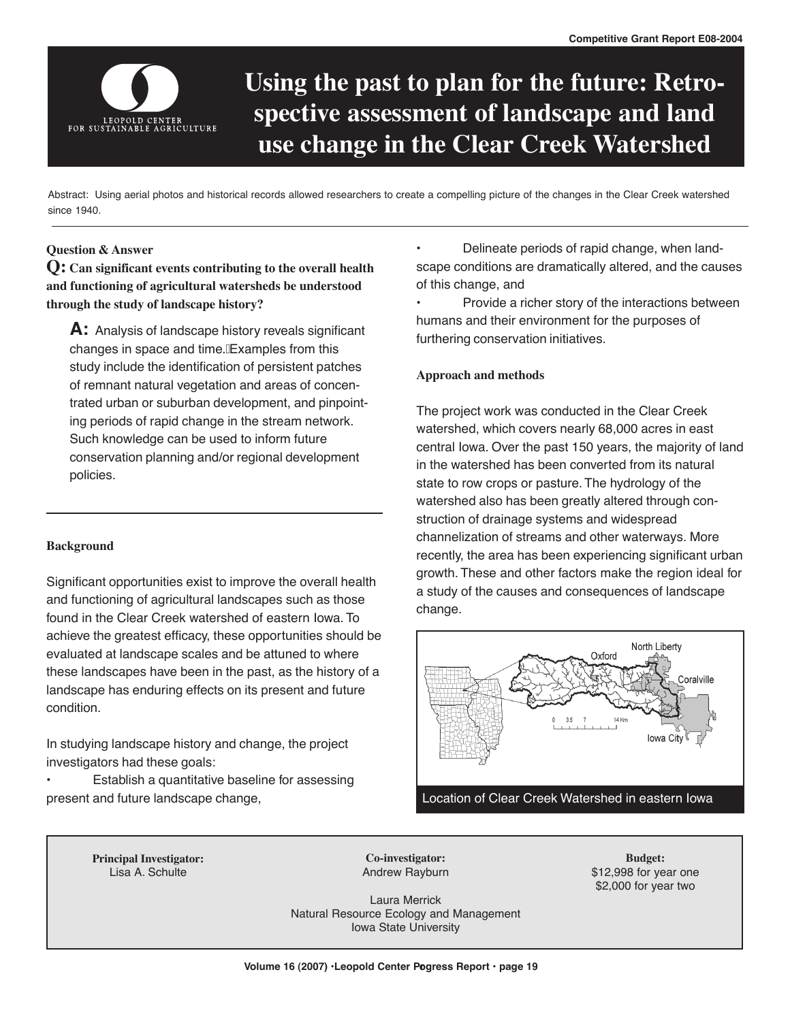

# **Using the past to plan for the future: Retrospective assessment of landscape and land use change in the Clear Creek Watershed**

Abstract: Using aerial photos and historical records allowed researchers to create a compelling picture of the changes in the Clear Creek watershed since 1940.

## **Question & Answer**

**Q: Can significant events contributing to the overall health and functioning of agricultural watersheds be understood through the study of landscape history?**

**A:** Analysis of landscape history reveals significant changes in space and time. $\text{f}$ Examples from this study include the identification of persistent patches of remnant natural vegetation and areas of concentrated urban or suburban development, and pinpointing periods of rapid change in the stream network. Such knowledge can be used to inform future conservation planning and/or regional development policies.

## **Background**

Significant opportunities exist to improve the overall health and functioning of agricultural landscapes such as those found in the Clear Creek watershed of eastern Iowa. To achieve the greatest efficacy, these opportunities should be evaluated at landscape scales and be attuned to where these landscapes have been in the past, as the history of a landscape has enduring effects on its present and future condition.

In studying landscape history and change, the project investigators had these goals:

Establish a quantitative baseline for assessing present and future landscape change,

• Delineate periods of rapid change, when landscape conditions are dramatically altered, and the causes of this change, and

• Provide a richer story of the interactions between humans and their environment for the purposes of furthering conservation initiatives.

### **Approach and methods**

The project work was conducted in the Clear Creek watershed, which covers nearly 68,000 acres in east central Iowa. Over the past 150 years, the majority of land in the watershed has been converted from its natural state to row crops or pasture. The hydrology of the watershed also has been greatly altered through construction of drainage systems and widespread channelization of streams and other waterways. More recently, the area has been experiencing significant urban growth. These and other factors make the region ideal for a study of the causes and consequences of landscape change.



**Principal Investigator:** Lisa A. Schulte

**Co-investigator:** Andrew Rayburn

**Budget:** \$12,998 for year one \$2,000 for year two

Laura Merrick Natural Resource Ecology and Management Iowa State University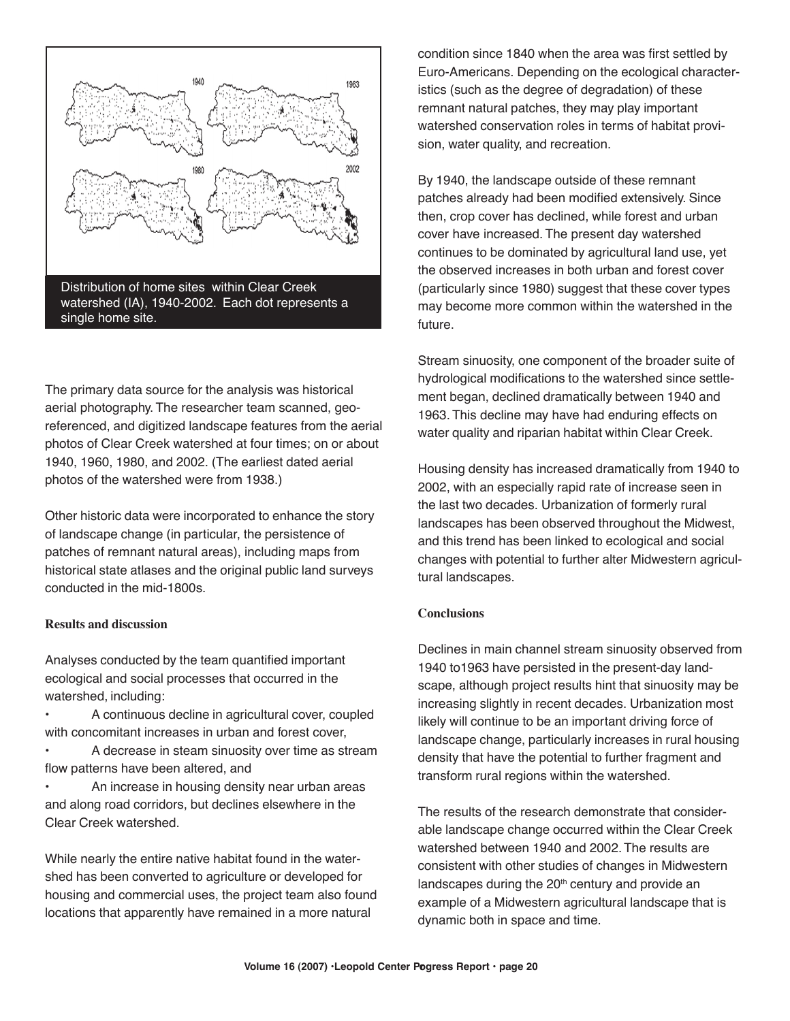The primary data source for the analysis was historical aerial photography. The researcher team scanned, georeferenced, and digitized landscape features from the aerial photos of Clear Creek watershed at four times; on or about 1940, 1960, 1980, and 2002. (The earliest dated aerial photos of the watershed were from 1938.)

Other historic data were incorporated to enhance the story of landscape change (in particular, the persistence of patches of remnant natural areas), including maps from historical state atlases and the original public land surveys conducted in the mid-1800s.

#### **Results and discussion**

Analyses conducted by the team quantified important ecological and social processes that occurred in the watershed, including:

- A continuous decline in agricultural cover, coupled with concomitant increases in urban and forest cover,
- A decrease in steam sinuosity over time as stream flow patterns have been altered, and
- An increase in housing density near urban areas and along road corridors, but declines elsewhere in the Clear Creek watershed.

While nearly the entire native habitat found in the watershed has been converted to agriculture or developed for housing and commercial uses, the project team also found locations that apparently have remained in a more natural

condition since 1840 when the area was first settled by Euro-Americans. Depending on the ecological characteristics (such as the degree of degradation) of these remnant natural patches, they may play important watershed conservation roles in terms of habitat provision, water quality, and recreation.

By 1940, the landscape outside of these remnant patches already had been modified extensively. Since then, crop cover has declined, while forest and urban cover have increased. The present day watershed continues to be dominated by agricultural land use, yet the observed increases in both urban and forest cover (particularly since 1980) suggest that these cover types may become more common within the watershed in the future.

Stream sinuosity, one component of the broader suite of hydrological modifications to the watershed since settlement began, declined dramatically between 1940 and 1963. This decline may have had enduring effects on water quality and riparian habitat within Clear Creek.

Housing density has increased dramatically from 1940 to 2002, with an especially rapid rate of increase seen in the last two decades. Urbanization of formerly rural landscapes has been observed throughout the Midwest, and this trend has been linked to ecological and social changes with potential to further alter Midwestern agricultural landscapes.

## **Conclusions**

Declines in main channel stream sinuosity observed from 1940 to1963 have persisted in the present-day landscape, although project results hint that sinuosity may be increasing slightly in recent decades. Urbanization most likely will continue to be an important driving force of landscape change, particularly increases in rural housing density that have the potential to further fragment and transform rural regions within the watershed.

The results of the research demonstrate that considerable landscape change occurred within the Clear Creek watershed between 1940 and 2002. The results are consistent with other studies of changes in Midwestern landscapes during the  $20<sup>th</sup>$  century and provide an example of a Midwestern agricultural landscape that is dynamic both in space and time.